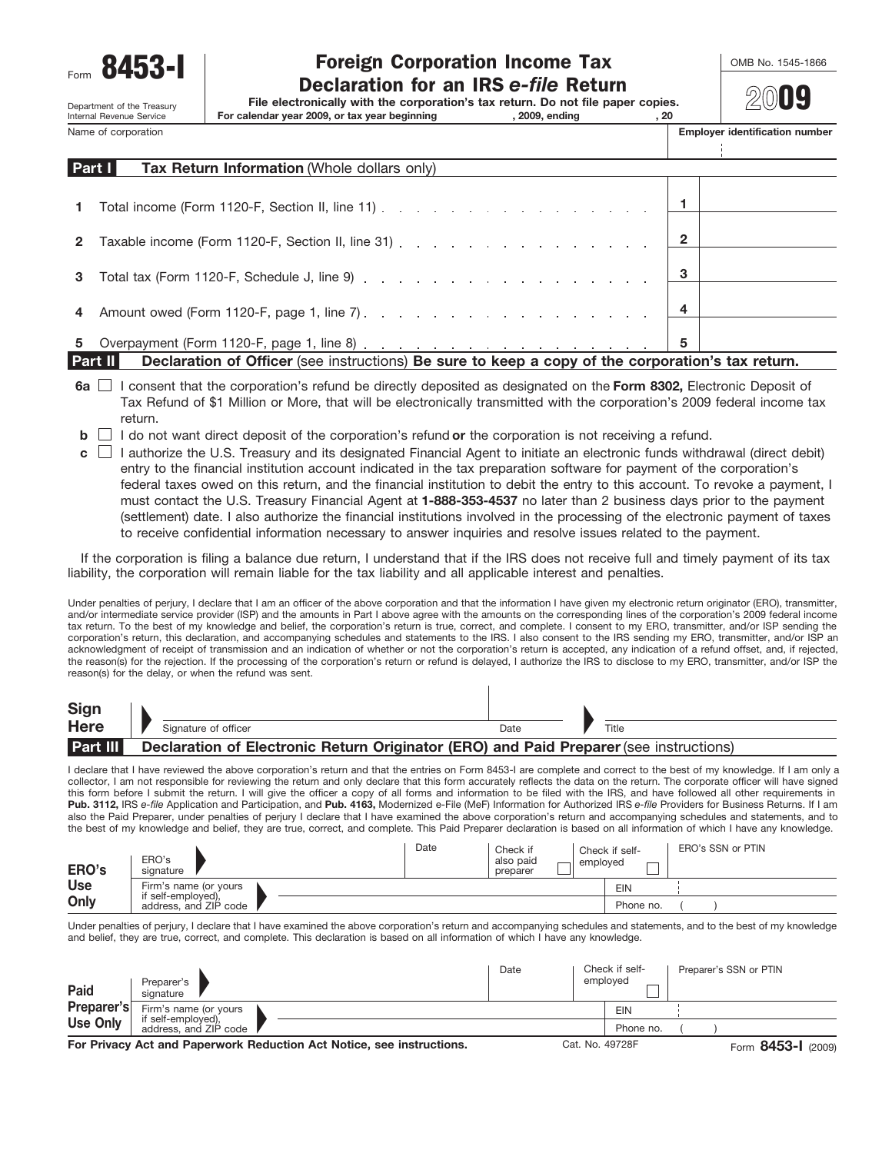Department of the Treasury<br>Internal Revenue Service

# Form **8453-I** Toreign Corporation Income Tax **COMB No. 1545-1866**<br>Declaration for an IRS *e-file* Return

**File electronically with the corporation's tax return. Do not file paper copies.**

Internal Revenue Service **For calendar year 2009, or tax year beginning , 2009, ending , 20**

**20**09

Name of corporation **Employer identification number Employer identification number** 

|              | Part I<br>Tax Return Information (Whole dollars only)                                                          |   |  |
|--------------|----------------------------------------------------------------------------------------------------------------|---|--|
|              |                                                                                                                |   |  |
| $\mathbf{1}$ | Total income (Form 1120-F, Section II, line 11) $\ldots$ $\ldots$ $\ldots$ $\ldots$ $\ldots$ $\ldots$ $\ldots$ |   |  |
| $\mathbf{2}$ | Taxable income (Form 1120-F, Section II, line 31) 2                                                            |   |  |
|              |                                                                                                                |   |  |
|              |                                                                                                                |   |  |
|              |                                                                                                                |   |  |
| 5            |                                                                                                                | 5 |  |

**Part II Declaration of Officer** (see instructions) **Be sure to keep a copy of the corporation's tax return.**

- **6a**  $\Box$  I consent that the corporation's refund be directly deposited as designated on the Form 8302, Electronic Deposit of Tax Refund of \$1 Million or More, that will be electronically transmitted with the corporation's 2009 federal income tax return.
- **b**  $\Box$  I do not want direct deposit of the corporation's refund **or** the corporation is not receiving a refund.
- I authorize the U.S. Treasury and its designated Financial Agent to initiate an electronic funds withdrawal (direct debit) **c** entry to the financial institution account indicated in the tax preparation software for payment of the corporation's federal taxes owed on this return, and the financial institution to debit the entry to this account. To revoke a payment, I must contact the U.S. Treasury Financial Agent at **1-888-353-4537** no later than 2 business days prior to the payment (settlement) date. I also authorize the financial institutions involved in the processing of the electronic payment of taxes to receive confidential information necessary to answer inquiries and resolve issues related to the payment.

If the corporation is filing a balance due return, I understand that if the IRS does not receive full and timely payment of its tax liability, the corporation will remain liable for the tax liability and all applicable interest and penalties.

Under penalties of perjury, I declare that I am an officer of the above corporation and that the information I have given my electronic return originator (ERO), transmitter, and/or intermediate service provider (ISP) and the amounts in Part I above agree with the amounts on the corresponding lines of the corporation's 2009 federal income tax return. To the best of my knowledge and belief, the corporation's return is true, correct, and complete. I consent to my ERO, transmitter, and/or ISP sending the corporation's return, this declaration, and accompanying schedules and statements to the IRS. I also consent to the IRS sending my ERO, transmitter, and/or ISP an acknowledgment of receipt of transmission and an indication of whether or not the corporation's return is accepted, any indication of a refund offset, and, if rejected, the reason(s) for the rejection. If the processing of the corporation's return or refund is delayed, I authorize the IRS to disclose to my ERO, transmitter, and/or ISP the reason(s) for the delay, or when the refund was sent.

| Sign            |                                                                                        |      |       |
|-----------------|----------------------------------------------------------------------------------------|------|-------|
| <b>Here</b>     | Signature of officer                                                                   | Date | Title |
| <b>Part III</b> | Declaration of Electronic Return Originator (ERO) and Paid Preparer (see instructions) |      |       |

I declare that I have reviewed the above corporation's return and that the entries on Form 8453-I are complete and correct to the best of my knowledge. If I am only a collector, I am not responsible for reviewing the return and only declare that this form accurately reflects the data on the return. The corporate officer will have signed this form before I submit the return. I will give the officer a copy of all forms and information to be filed with the IRS, and have followed all other requirements in **Pub. 3112,** IRS *e-file* Application and Participation, and **Pub. 4163,** Modernized e-File (MeF) Information for Authorized IRS *e-file* Providers for Business Returns. If I am also the Paid Preparer, under penalties of perjury I declare that I have examined the above corporation's return and accompanying schedules and statements, and to the best of my knowledge and belief, they are true, correct, and complete. This Paid Preparer declaration is based on all information of which I have any knowledge.

| ERO's      | ERO's<br>signature                          | Date | Check if<br>also paid<br>preparer | Check if self-<br>emploved | ERO's SSN or PTIN |
|------------|---------------------------------------------|------|-----------------------------------|----------------------------|-------------------|
| <b>Use</b> | Firm's name (or yours                       |      |                                   | <b>EIN</b>                 |                   |
| Only       | if self-employed),<br>address, and ZIP code |      |                                   | Phone no.                  |                   |

Under penalties of perjury, I declare that I have examined the above corporation's return and accompanying schedules and statements, and to the best of my knowledge and belief, they are true, correct, and complete. This declaration is based on all information of which I have any knowledge.

| Paid                                                                  | Preparer's<br>signature                                              |  |  | Date            |  | Check if self-<br>employed | Preparer's SSN or PTIN |  |  |
|-----------------------------------------------------------------------|----------------------------------------------------------------------|--|--|-----------------|--|----------------------------|------------------------|--|--|
| Preparer's                                                            | Firm's name (or yours<br>if self-employed),<br>address, and ZIP code |  |  |                 |  | EIN                        |                        |  |  |
| <b>Use Only</b>                                                       |                                                                      |  |  |                 |  | Phone no.                  |                        |  |  |
| For Privacy Act and Paperwork Reduction Act Notice, see instructions. |                                                                      |  |  | Cat. No. 49728F |  |                            | Form 8453-1 (2009)     |  |  |

**For Privacy Act and Paperwork Reduction Act Notice, see instructions.**